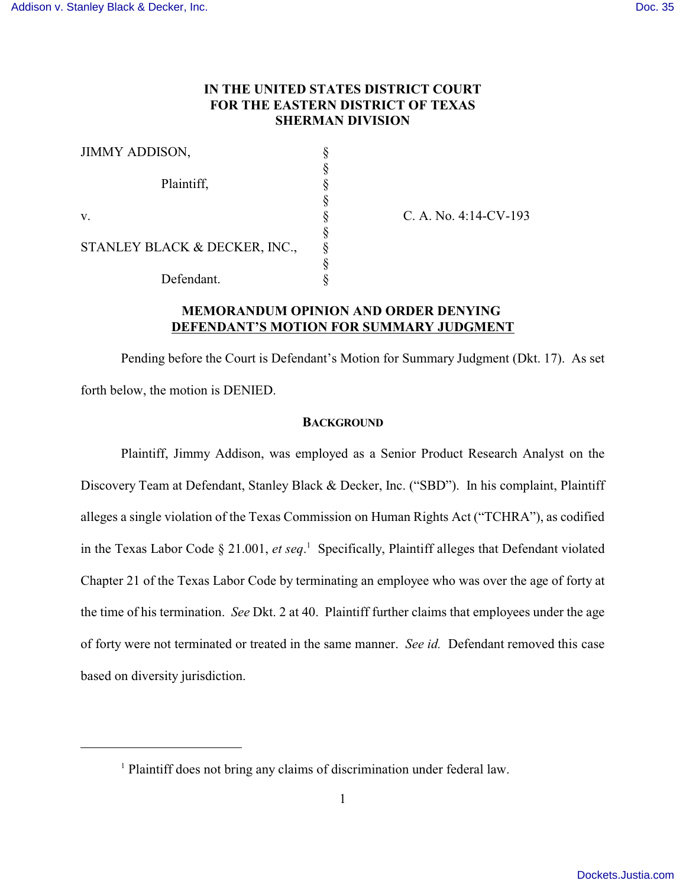# **IN THE UNITED STATES DISTRICT COURT FOR THE EASTERN DISTRICT OF TEXAS SHERMAN DIVISION**

| <b>JIMMY ADDISON,</b>         |  |
|-------------------------------|--|
|                               |  |
| Plaintiff,                    |  |
|                               |  |
| V.                            |  |
|                               |  |
| STANLEY BLACK & DECKER, INC., |  |
|                               |  |
| Defendant.                    |  |

 $C. A. No. 4:14-CV-193$ 

# **MEMORANDUM OPINION AND ORDER DENYING DEFENDANT'S MOTION FOR SUMMARY JUDGMENT**

Pending before the Court is Defendant's Motion for Summary Judgment (Dkt. 17). As set forth below, the motion is DENIED.

### **BACKGROUND**

Plaintiff, Jimmy Addison, was employed as a Senior Product Research Analyst on the Discovery Team at Defendant, Stanley Black & Decker, Inc. ("SBD"). In his complaint, Plaintiff alleges a single violation of the Texas Commission on Human Rights Act ("TCHRA"), as codified in the Texas Labor Code § 21.001, *et seq*. <sup>1</sup> Specifically, Plaintiff alleges that Defendant violated Chapter 21 of the Texas Labor Code by terminating an employee who was over the age of forty at the time of his termination. *See* Dkt. 2 at 40. Plaintiff further claims that employees under the age of forty were not terminated or treated in the same manner. *See id.* Defendant removed this case based on diversity jurisdiction.

<sup>&</sup>lt;sup>1</sup> Plaintiff does not bring any claims of discrimination under federal law.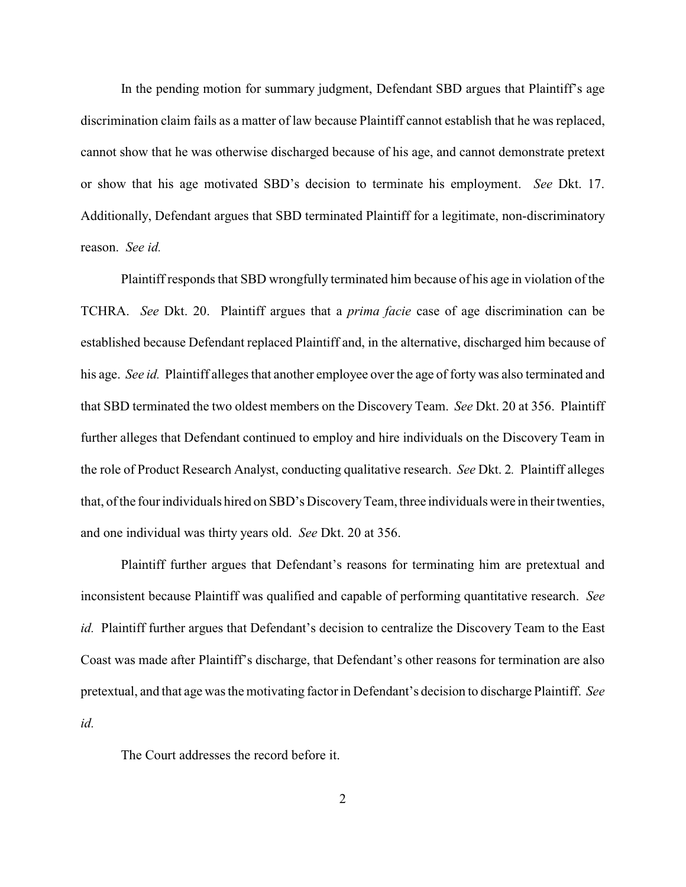In the pending motion for summary judgment, Defendant SBD argues that Plaintiff's age discrimination claim fails as a matter of law because Plaintiff cannot establish that he was replaced, cannot show that he was otherwise discharged because of his age, and cannot demonstrate pretext or show that his age motivated SBD's decision to terminate his employment. *See* Dkt. 17. Additionally, Defendant argues that SBD terminated Plaintiff for a legitimate, non-discriminatory reason. *See id.*

Plaintiff responds that SBD wrongfully terminated him because of his age in violation of the TCHRA. *See* Dkt. 20. Plaintiff argues that a *prima facie* case of age discrimination can be established because Defendant replaced Plaintiff and, in the alternative, discharged him because of his age. *See id.* Plaintiff alleges that another employee over the age of forty was also terminated and that SBD terminated the two oldest members on the Discovery Team. *See* Dkt. 20 at 356. Plaintiff further alleges that Defendant continued to employ and hire individuals on the Discovery Team in the role of Product Research Analyst, conducting qualitative research. *See* Dkt. 2*.* Plaintiff alleges that, of the four individuals hired on SBD's DiscoveryTeam, three individuals were in their twenties, and one individual was thirty years old. *See* Dkt. 20 at 356.

Plaintiff further argues that Defendant's reasons for terminating him are pretextual and inconsistent because Plaintiff was qualified and capable of performing quantitative research. *See id.* Plaintiff further argues that Defendant's decision to centralize the Discovery Team to the East Coast was made after Plaintiff's discharge, that Defendant's other reasons for termination are also pretextual, and that age was the motivating factor in Defendant's decision to discharge Plaintiff. *See id.*

The Court addresses the record before it.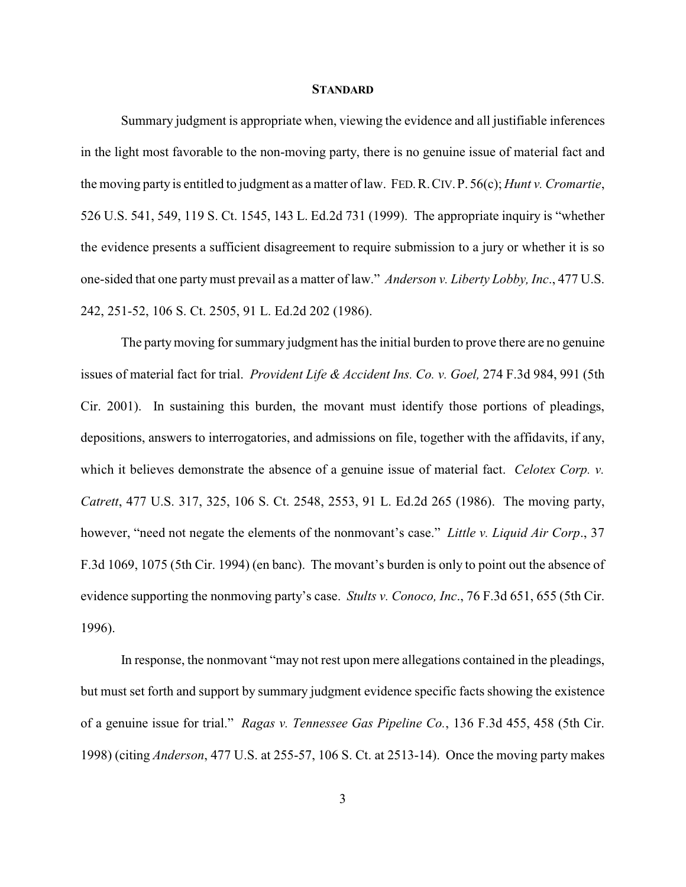#### **STANDARD**

Summary judgment is appropriate when, viewing the evidence and all justifiable inferences in the light most favorable to the non-moving party, there is no genuine issue of material fact and the moving party is entitled to judgment as a matter of law. FED.R.CIV.P. 56(c); *Hunt v. Cromartie*, 526 U.S. 541, 549, 119 S. Ct. 1545, 143 L. Ed.2d 731 (1999). The appropriate inquiry is "whether the evidence presents a sufficient disagreement to require submission to a jury or whether it is so one-sided that one partymust prevail as a matter of law." *Anderson v. Liberty Lobby, Inc*., 477 U.S. 242, 251-52, 106 S. Ct. 2505, 91 L. Ed.2d 202 (1986).

The partymoving for summary judgment has the initial burden to prove there are no genuine issues of material fact for trial. *Provident Life & Accident Ins. Co. v. Goel,* 274 F.3d 984, 991 (5th Cir. 2001). In sustaining this burden, the movant must identify those portions of pleadings, depositions, answers to interrogatories, and admissions on file, together with the affidavits, if any, which it believes demonstrate the absence of a genuine issue of material fact. *Celotex Corp. v. Catrett*, 477 U.S. 317, 325, 106 S. Ct. 2548, 2553, 91 L. Ed.2d 265 (1986). The moving party, however, "need not negate the elements of the nonmovant's case." *Little v. Liquid Air Corp*., 37 F.3d 1069, 1075 (5th Cir. 1994) (en banc). The movant's burden is only to point out the absence of evidence supporting the nonmoving party's case. *Stults v. Conoco, Inc*., 76 F.3d 651, 655 (5th Cir. 1996).

In response, the nonmovant "may not rest upon mere allegations contained in the pleadings, but must set forth and support by summary judgment evidence specific facts showing the existence of a genuine issue for trial." *Ragas v. Tennessee Gas Pipeline Co.*, 136 F.3d 455, 458 (5th Cir. 1998) (citing *Anderson*, 477 U.S. at 255-57, 106 S. Ct. at 2513-14). Once the moving party makes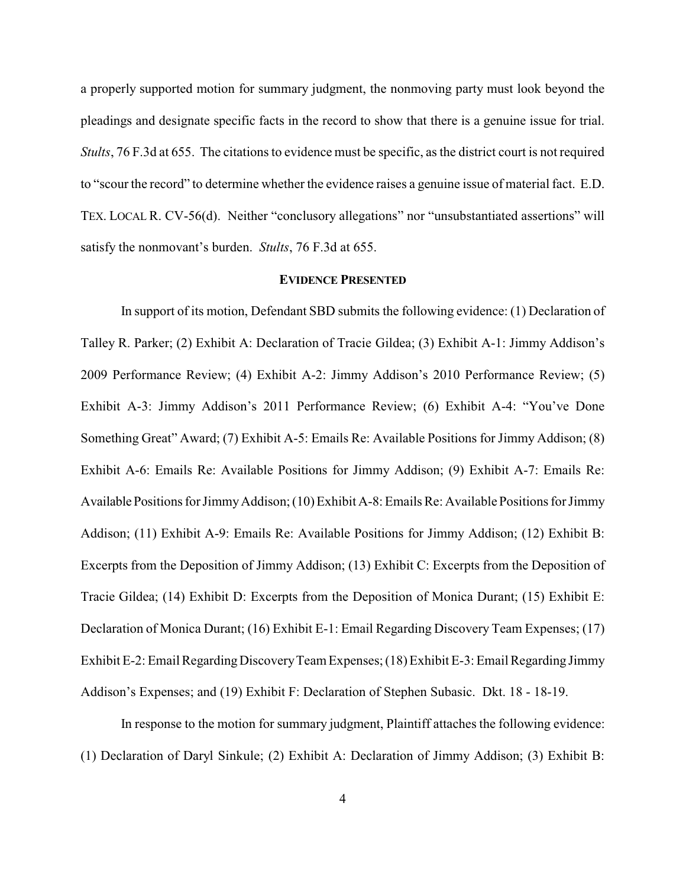a properly supported motion for summary judgment, the nonmoving party must look beyond the pleadings and designate specific facts in the record to show that there is a genuine issue for trial. *Stults*, 76 F.3d at 655. The citations to evidence must be specific, as the district court is not required to "scour the record" to determine whether the evidence raises a genuine issue of material fact. E.D. TEX. LOCAL R. CV-56(d). Neither "conclusory allegations" nor "unsubstantiated assertions" will satisfy the nonmovant's burden. *Stults*, 76 F.3d at 655.

### **EVIDENCE PRESENTED**

In support of its motion, Defendant SBD submits the following evidence: (1) Declaration of Talley R. Parker; (2) Exhibit A: Declaration of Tracie Gildea; (3) Exhibit A-1: Jimmy Addison's 2009 Performance Review; (4) Exhibit A-2: Jimmy Addison's 2010 Performance Review; (5) Exhibit A-3: Jimmy Addison's 2011 Performance Review; (6) Exhibit A-4: "You've Done Something Great" Award; (7) Exhibit A-5: Emails Re: Available Positions for Jimmy Addison; (8) Exhibit A-6: Emails Re: Available Positions for Jimmy Addison; (9) Exhibit A-7: Emails Re: Available Positions for Jimmy Addison; (10) Exhibit A-8: Emails Re: Available Positions for Jimmy Addison; (11) Exhibit A-9: Emails Re: Available Positions for Jimmy Addison; (12) Exhibit B: Excerpts from the Deposition of Jimmy Addison; (13) Exhibit C: Excerpts from the Deposition of Tracie Gildea; (14) Exhibit D: Excerpts from the Deposition of Monica Durant; (15) Exhibit E: Declaration of Monica Durant; (16) Exhibit E-1: Email Regarding Discovery Team Expenses; (17) Exhibit E-2: Email Regarding Discovery Team Expenses; (18) Exhibit E-3: Email Regarding Jimmy Addison's Expenses; and (19) Exhibit F: Declaration of Stephen Subasic. Dkt. 18 - 18-19.

In response to the motion for summary judgment, Plaintiff attaches the following evidence: (1) Declaration of Daryl Sinkule; (2) Exhibit A: Declaration of Jimmy Addison; (3) Exhibit B: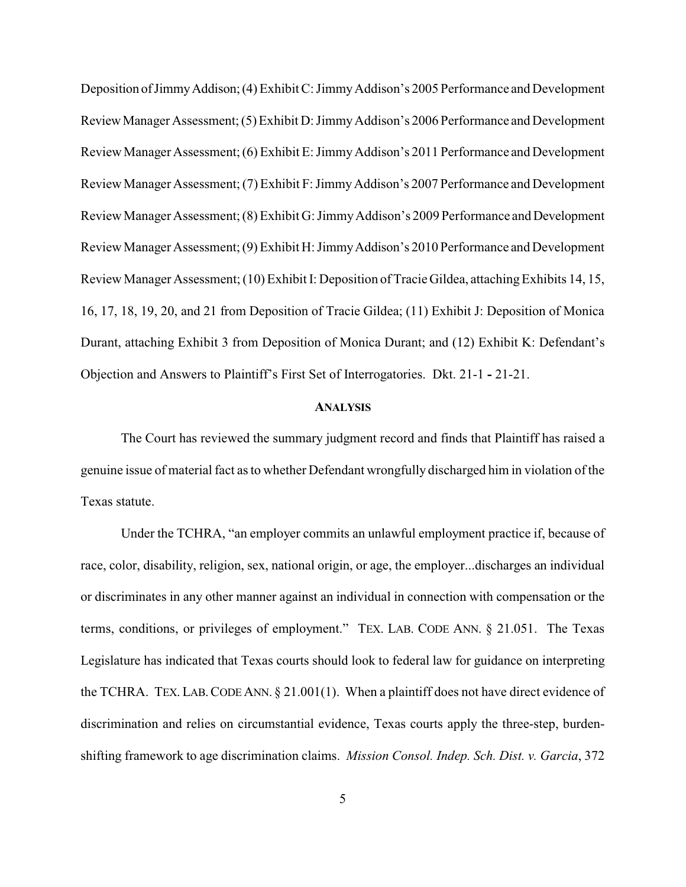Deposition of Jimmy Addison; (4) Exhibit C: Jimmy Addison's 2005 Performance and Development ReviewManager Assessment; (5) Exhibit D: JimmyAddison's 2006 Performance and Development Review Manager Assessment; (6) Exhibit E: JimmyAddison's 2011 Performance and Development Review Manager Assessment; (7) Exhibit F: JimmyAddison's 2007 Performance and Development Review Manager Assessment; (8) Exhibit G: JimmyAddison's 2009 Performance and Development Review Manager Assessment; (9) Exhibit H: JimmyAddison's 2010 Performance and Development Review Manager Assessment; (10) Exhibit I: Deposition of Tracie Gildea, attaching Exhibits 14, 15, 16, 17, 18, 19, 20, and 21 from Deposition of Tracie Gildea; (11) Exhibit J: Deposition of Monica Durant, attaching Exhibit 3 from Deposition of Monica Durant; and (12) Exhibit K: Defendant's Objection and Answers to Plaintiff's First Set of Interrogatories. Dkt. 21-1 **-** 21-21.

## **ANALYSIS**

The Court has reviewed the summary judgment record and finds that Plaintiff has raised a genuine issue of material fact as to whether Defendant wrongfully discharged him in violation of the Texas statute.

Under the TCHRA, "an employer commits an unlawful employment practice if, because of race, color, disability, religion, sex, national origin, or age, the employer...discharges an individual or discriminates in any other manner against an individual in connection with compensation or the terms, conditions, or privileges of employment." TEX. LAB. CODE ANN. § 21.051. The Texas Legislature has indicated that Texas courts should look to federal law for guidance on interpreting the TCHRA. TEX. LAB. CODE ANN.  $\S 21.001(1)$ . When a plaintiff does not have direct evidence of discrimination and relies on circumstantial evidence, Texas courts apply the three-step, burdenshifting framework to age discrimination claims. *Mission Consol. Indep. Sch. Dist. v. Garcia*, 372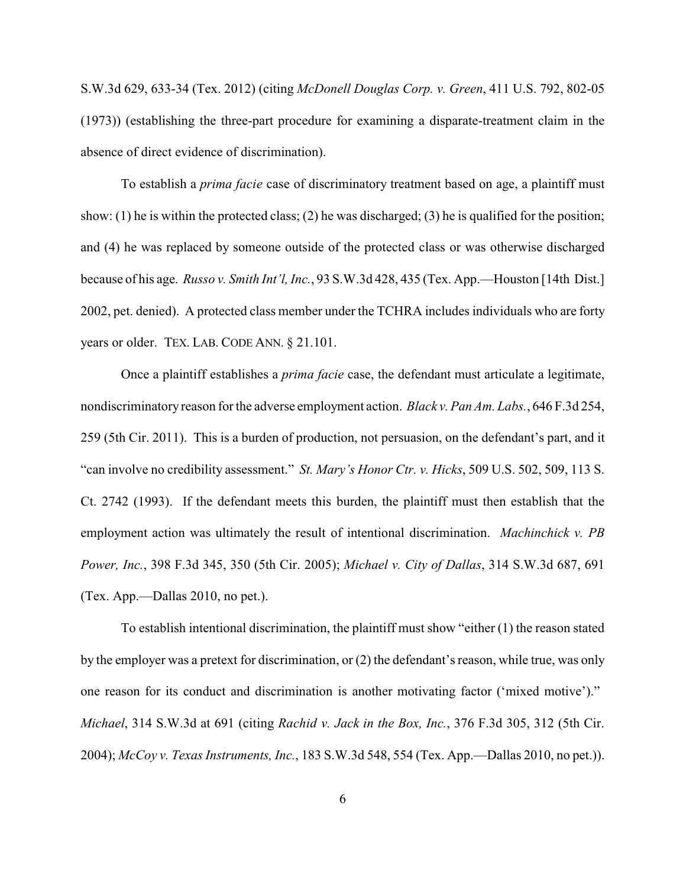S.W.3d 629, 633-34 (Tex. 2012) (citing *McDonell Douglas Corp. v. Green*, 411 U.S. 792, 802-05 (1973)) (establishing the three-part procedure for examining a disparate-treatment claim in the absence of direct evidence of discrimination).

To establish a *prima facie* case of discriminatory treatment based on age, a plaintiff must show: (1) he is within the protected class; (2) he was discharged; (3) he is qualified for the position; and (4) he was replaced by someone outside of the protected class or was otherwise discharged because of his age. *Russo v. Smith Int'l, Inc.*, 93 S.W.3d 428, 435 (Tex. App.—Houston [14th Dist.] 2002, pet. denied). A protected class member under the TCHRA includes individuals who are forty years or older. TEX. LAB. CODE ANN. § 21.101.

Once a plaintiff establishes a *prima facie* case, the defendant must articulate a legitimate, nondiscriminatory reason for the adverse employment action. *Black v. Pan Am. Labs.*, 646 F.3d 254, 259 (5th Cir. 2011). This is a burden of production, not persuasion, on the defendant's part, and it "can involve no credibility assessment." *St. Mary's Honor Ctr. v. Hicks*, 509 U.S. 502, 509, 113 S. Ct. 2742 (1993). If the defendant meets this burden, the plaintiff must then establish that the employment action was ultimately the result of intentional discrimination. *Machinchick v. PB Power, Inc.*, 398 F.3d 345, 350 (5th Cir. 2005); *Michael v. City of Dallas*, 314 S.W.3d 687, 691 (Tex. App.—Dallas 2010, no pet.).

To establish intentional discrimination, the plaintiff must show "either (1) the reason stated by the employer was a pretext for discrimination, or (2) the defendant's reason, while true, was only one reason for its conduct and discrimination is another motivating factor ('mixed motive')." *Michael*, 314 S.W.3d at 691 (citing *Rachid v. Jack in the Box, Inc.*, 376 F.3d 305, 312 (5th Cir. 2004); *McCoy v. Texas Instruments, Inc.*, 183 S.W.3d 548, 554 (Tex. App.—Dallas 2010, no pet.)).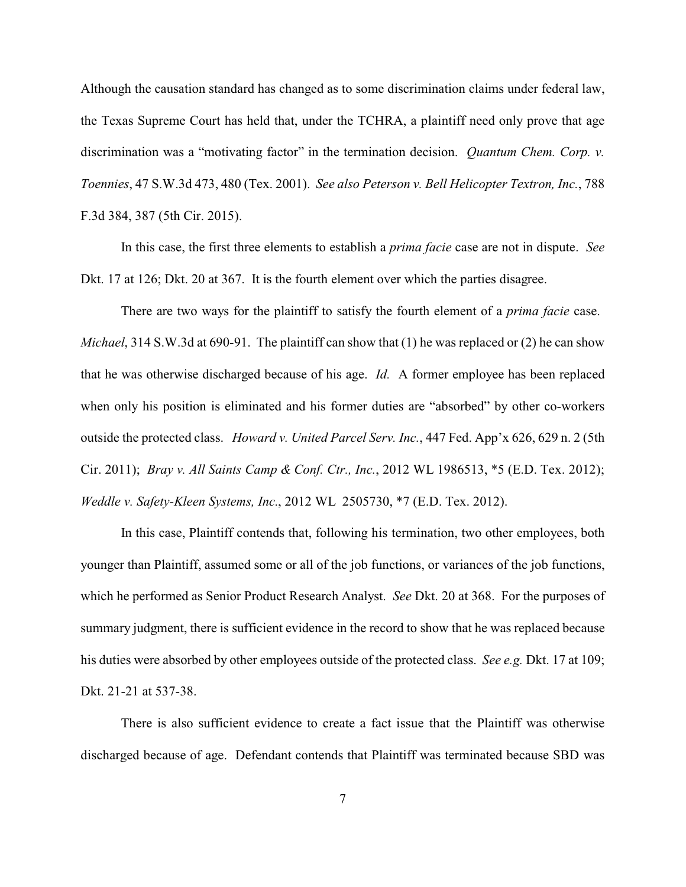Although the causation standard has changed as to some discrimination claims under federal law, the Texas Supreme Court has held that, under the TCHRA, a plaintiff need only prove that age discrimination was a "motivating factor" in the termination decision. *Quantum Chem. Corp. v. Toennies*, 47 S.W.3d 473, 480 (Tex. 2001). *See also Peterson v. Bell Helicopter Textron, Inc.*, 788 F.3d 384, 387 (5th Cir. 2015).

In this case, the first three elements to establish a *prima facie* case are not in dispute. *See* Dkt. 17 at 126; Dkt. 20 at 367. It is the fourth element over which the parties disagree.

There are two ways for the plaintiff to satisfy the fourth element of a *prima facie* case. *Michael*, 314 S.W.3d at 690-91. The plaintiff can show that (1) he was replaced or (2) he can show that he was otherwise discharged because of his age. *Id.* A former employee has been replaced when only his position is eliminated and his former duties are "absorbed" by other co-workers outside the protected class. *Howard v. United Parcel Serv. Inc.*, 447 Fed. App'x 626, 629 n. 2 (5th Cir. 2011); *Bray v. All Saints Camp & Conf. Ctr., Inc.*, 2012 WL 1986513, \*5 (E.D. Tex. 2012); *Weddle v. Safety-Kleen Systems, Inc.*, 2012 WL 2505730, \*7 (E.D. Tex. 2012).

In this case, Plaintiff contends that, following his termination, two other employees, both younger than Plaintiff, assumed some or all of the job functions, or variances of the job functions, which he performed as Senior Product Research Analyst. *See* Dkt. 20 at 368. For the purposes of summary judgment, there is sufficient evidence in the record to show that he was replaced because his duties were absorbed by other employees outside of the protected class. *See e.g.* Dkt. 17 at 109; Dkt. 21-21 at 537-38.

There is also sufficient evidence to create a fact issue that the Plaintiff was otherwise discharged because of age. Defendant contends that Plaintiff was terminated because SBD was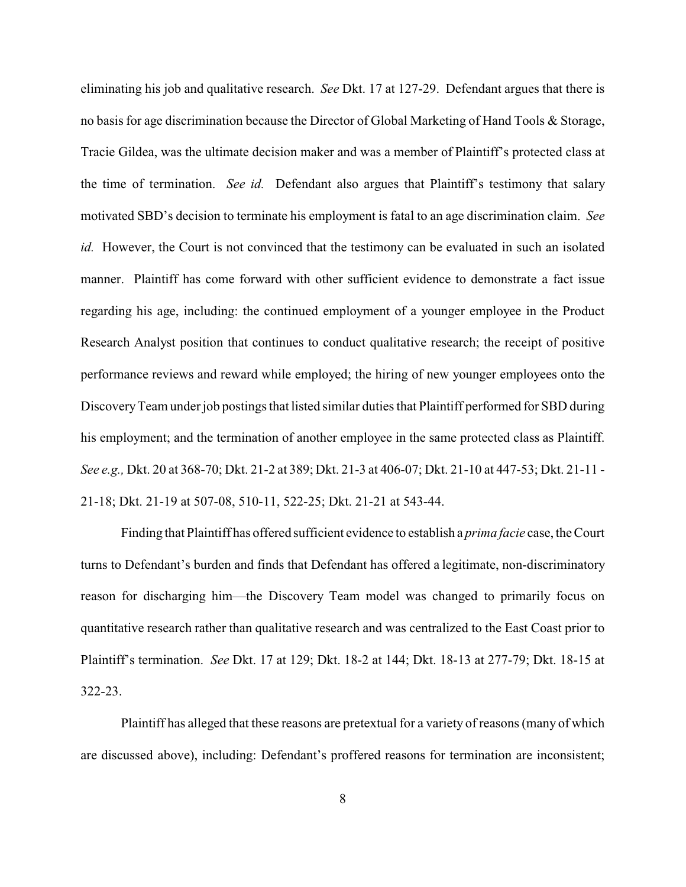eliminating his job and qualitative research. *See* Dkt. 17 at 127-29. Defendant argues that there is no basis for age discrimination because the Director of Global Marketing of Hand Tools & Storage, Tracie Gildea, was the ultimate decision maker and was a member of Plaintiff's protected class at the time of termination. *See id.* Defendant also argues that Plaintiff's testimony that salary motivated SBD's decision to terminate his employment is fatal to an age discrimination claim. *See id.* However, the Court is not convinced that the testimony can be evaluated in such an isolated manner. Plaintiff has come forward with other sufficient evidence to demonstrate a fact issue regarding his age, including: the continued employment of a younger employee in the Product Research Analyst position that continues to conduct qualitative research; the receipt of positive performance reviews and reward while employed; the hiring of new younger employees onto the DiscoveryTeam under job postings that listed similar duties that Plaintiff performed for SBD during his employment; and the termination of another employee in the same protected class as Plaintiff. *See e.g.,* Dkt. 20 at 368-70; Dkt. 21-2 at 389; Dkt. 21-3 at 406-07; Dkt. 21-10 at 447-53; Dkt. 21-11 - 21-18; Dkt. 21-19 at 507-08, 510-11, 522-25; Dkt. 21-21 at 543-44.

Finding that Plaintiff has offered sufficient evidence to establish a *prima facie* case, the Court turns to Defendant's burden and finds that Defendant has offered a legitimate, non-discriminatory reason for discharging him—the Discovery Team model was changed to primarily focus on quantitative research rather than qualitative research and was centralized to the East Coast prior to Plaintiff's termination. *See* Dkt. 17 at 129; Dkt. 18-2 at 144; Dkt. 18-13 at 277-79; Dkt. 18-15 at 322-23.

Plaintiff has alleged that these reasons are pretextual for a variety of reasons (many of which are discussed above), including: Defendant's proffered reasons for termination are inconsistent;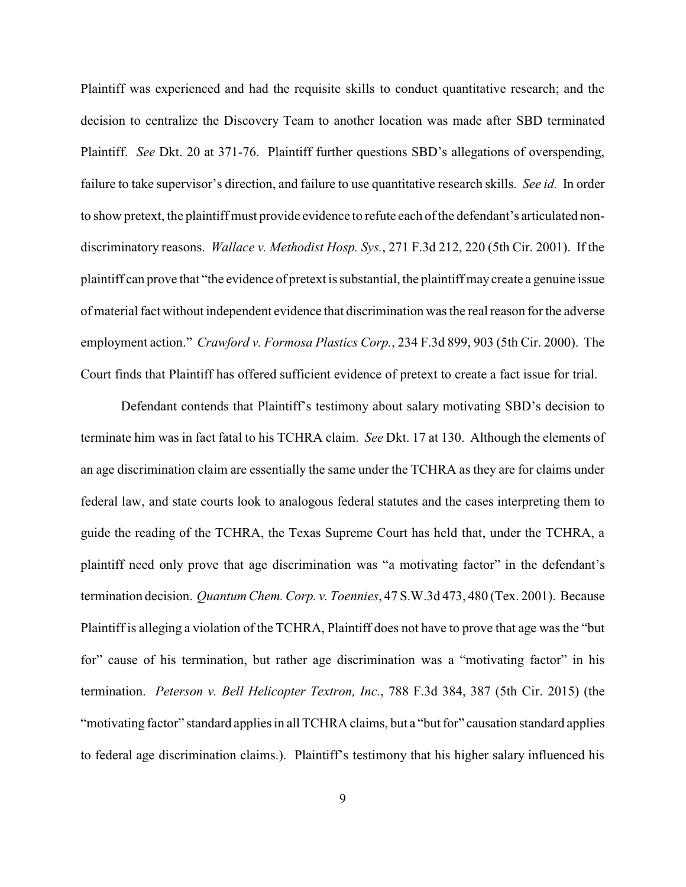Plaintiff was experienced and had the requisite skills to conduct quantitative research; and the decision to centralize the Discovery Team to another location was made after SBD terminated Plaintiff. *See* Dkt. 20 at 371-76. Plaintiff further questions SBD's allegations of overspending, failure to take supervisor's direction, and failure to use quantitative research skills. *See id.* In order to show pretext, the plaintiff must provide evidence to refute each of the defendant's articulated nondiscriminatory reasons. *Wallace v. Methodist Hosp. Sys.*, 271 F.3d 212, 220 (5th Cir. 2001). If the plaintiff can prove that "the evidence of pretext is substantial, the plaintiff may create a genuine issue of material fact without independent evidence that discrimination was the real reason for the adverse employment action." *Crawford v. Formosa Plastics Corp.*, 234 F.3d 899, 903 (5th Cir. 2000). The Court finds that Plaintiff has offered sufficient evidence of pretext to create a fact issue for trial.

Defendant contends that Plaintiff's testimony about salary motivating SBD's decision to terminate him was in fact fatal to his TCHRA claim. *See* Dkt. 17 at 130. Although the elements of an age discrimination claim are essentially the same under the TCHRA as they are for claims under federal law, and state courts look to analogous federal statutes and the cases interpreting them to guide the reading of the TCHRA, the Texas Supreme Court has held that, under the TCHRA, a plaintiff need only prove that age discrimination was "a motivating factor" in the defendant's termination decision. *Quantum Chem. Corp. v. Toennies*, 47 S.W.3d 473, 480 (Tex. 2001). Because Plaintiff is alleging a violation of the TCHRA, Plaintiff does not have to prove that age was the "but for" cause of his termination, but rather age discrimination was a "motivating factor" in his termination. *Peterson v. Bell Helicopter Textron, Inc.*, 788 F.3d 384, 387 (5th Cir. 2015) (the "motivating factor" standard applies in all TCHRA claims, but a "but for" causation standard applies to federal age discrimination claims.). Plaintiff's testimony that his higher salary influenced his